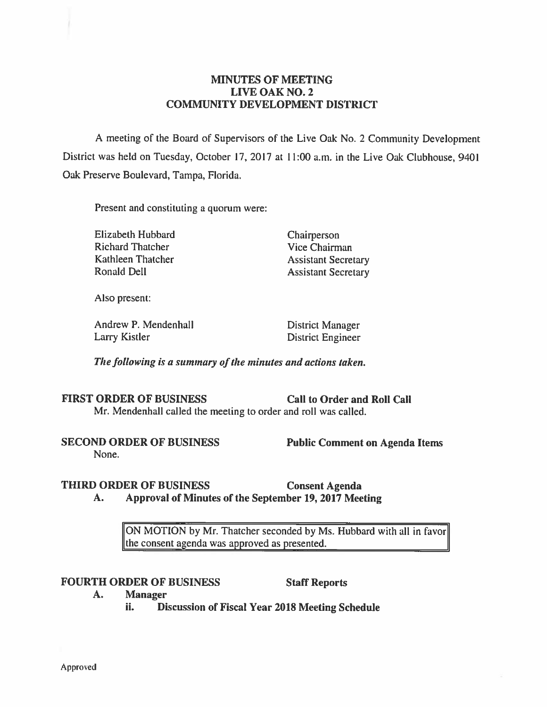### **MINUTES OF MEETING LIVE OAK NO. 2 COMMUNITY DEVELOPMENT DISTRICT**

A meeting of the Board of Supervisors of the Live Oak No. 2 Community Development District was held on Tuesday, October 17, 2017 at 11:00 a.m. in the Live Oak Clubhouse, 9401 Oak Preserve Boulevard, Tampa, Florida.

Present and constituting a quorum were:

Elizabeth Hubbard Chairperson Richard Thatcher Vice Chairman Kathleen Thatcher **Assistant Secretary** Ronald Dell **Assistant Secretary** 

Also present:

Andrew P. Mendenhall District Manager Larry Kistler **District Engineer** 

*The following is a summary of the minutes and actions taken.* 

#### FIRST ORDER OF BUSINESS Call to Order and Roll Call

Mr. Mendenhall called the meeting to order and roll was called.

**SECOND ORDER OF BUSINESS** Public Comment on Agenda Items

None.

# **THIRD ORDER OF BUSINESS Consent Agenda**

**A. Approval of Minutes of the September 19, 2017 Meeting** 

ON MOTION by Mr. Thatcher seconded by Ms. Hubbard with all in favor the consent agenda was approved as presented.

# FOURTH ORDER OF BUSINESS Staff Reports

- **A. Manager** 
	- ii. **Discussion of Fiscal Year 2018 Meeting Schedule**